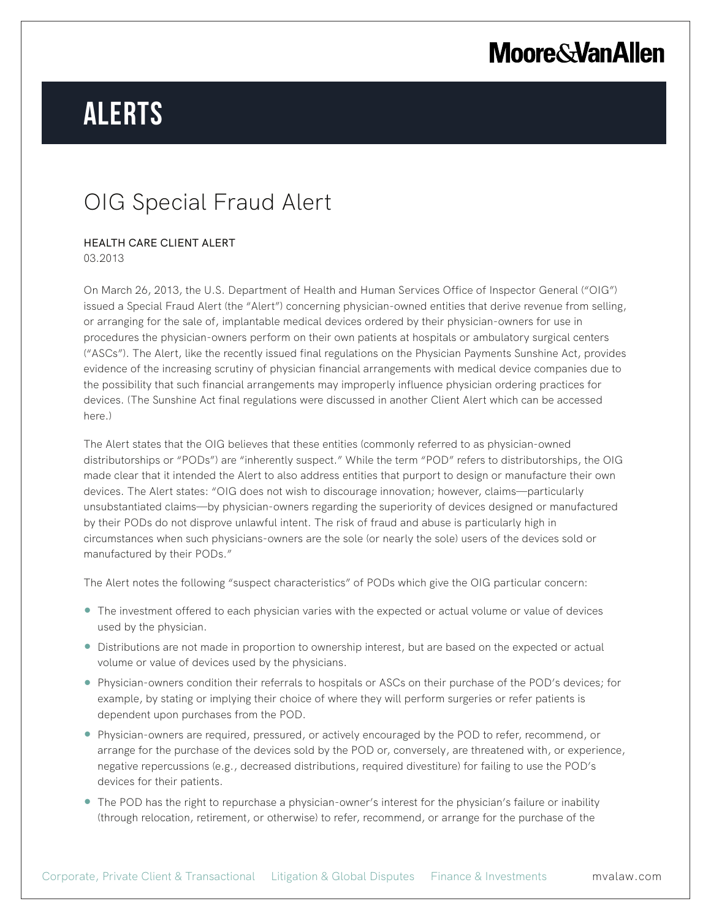# **Moore & Van Allen**

# **Alerts**

### OIG Special Fraud Alert

#### HEALTH CARE CLIENT ALERT 03.2013

On March 26, 2013, the U.S. Department of Health and Human Services Office of Inspector General ("OIG") issued a Special Fraud Alert (the "Alert") concerning physician-owned entities that derive revenue from selling, or arranging for the sale of, implantable medical devices ordered by their physician-owners for use in procedures the physician-owners perform on their own patients at hospitals or ambulatory surgical centers ("ASCs"). The Alert, like the recently issued final regulations on the Physician Payments Sunshine Act, provides evidence of the increasing scrutiny of physician financial arrangements with medical device companies due to the possibility that such financial arrangements may improperly influence physician ordering practices for devices. (The Sunshine Act final regulations were discussed in another Client Alert which can be accessed here.)

The Alert states that the OIG believes that these entities (commonly referred to as physician-owned distributorships or "PODs") are "inherently suspect." While the term "POD" refers to distributorships, the OIG made clear that it intended the Alert to also address entities that purport to design or manufacture their own devices. The Alert states: "OIG does not wish to discourage innovation; however, claims—particularly unsubstantiated claims—by physician-owners regarding the superiority of devices designed or manufactured by their PODs do not disprove unlawful intent. The risk of fraud and abuse is particularly high in circumstances when such physicians-owners are the sole (or nearly the sole) users of the devices sold or manufactured by their PODs."

The Alert notes the following "suspect characteristics" of PODs which give the OIG particular concern:

- The investment offered to each physician varies with the expected or actual volume or value of devices used by the physician.
- Distributions are not made in proportion to ownership interest, but are based on the expected or actual volume or value of devices used by the physicians.
- Physician-owners condition their referrals to hospitals or ASCs on their purchase of the POD's devices; for example, by stating or implying their choice of where they will perform surgeries or refer patients is dependent upon purchases from the POD.
- Physician-owners are required, pressured, or actively encouraged by the POD to refer, recommend, or arrange for the purchase of the devices sold by the POD or, conversely, are threatened with, or experience, negative repercussions (e.g., decreased distributions, required divestiture) for failing to use the POD's devices for their patients.
- The POD has the right to repurchase a physician-owner's interest for the physician's failure or inability (through relocation, retirement, or otherwise) to refer, recommend, or arrange for the purchase of the